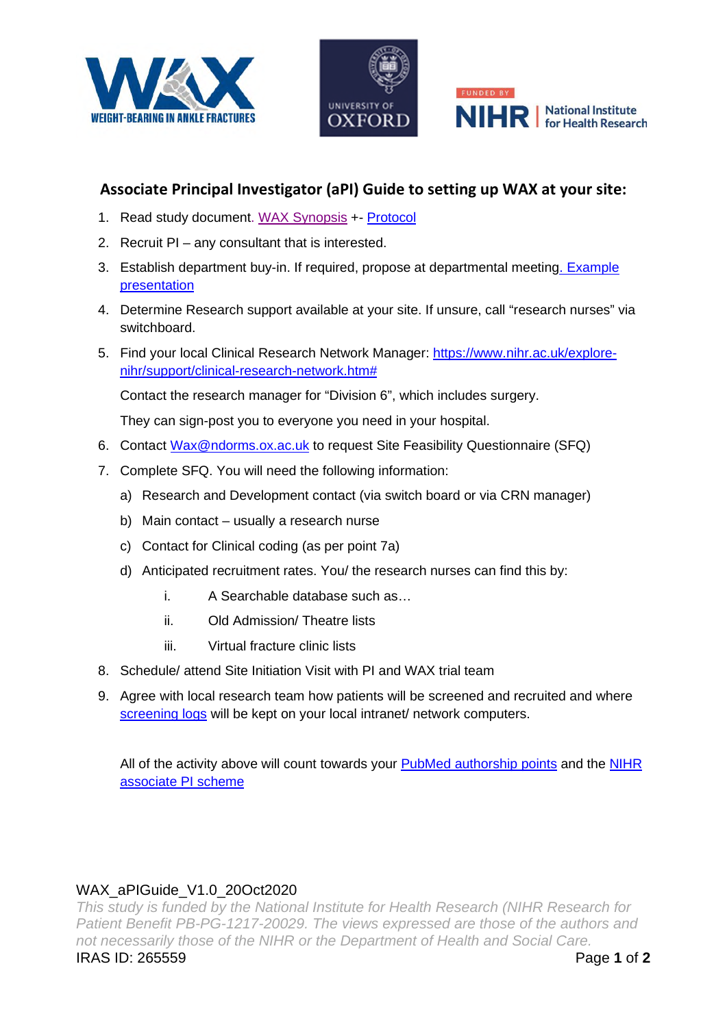





## **Associate Principal Investigator (aPI) Guide to setting up WAX at your site:**

- 1. Read study documen[t. WAX Synopsis](https://drive.google.com/file/d/1VznLjrMBdhVheK98UTEY96zLOViTxQFP/view?usp=sharing) +- [Protocol](https://drive.google.com/file/d/1sL4X5J95gO9oZkss6r3K-pjtCYwOjcx5/view?usp=sharing)
- 2. Recruit PI any consultant that is interested.
- 3. Establish department buy-in. If required, propose at departmental meeting. Example [presentation](https://docs.google.com/presentation/d/1rnEQzoEmW3zEaWT5euKSMgzlFMmHic9WvtdXSdPlvuU/edit?usp=sharing)
- 4. Determine Research support available at your site. If unsure, call "research nurses" via switchboard.
- 5. Find your local Clinical Research Network Manager: [https://www.nihr.ac.uk/explore](https://www.nihr.ac.uk/explore-nihr/support/clinical-research-network.htm)[nihr/support/clinical-research-network.htm#](https://www.nihr.ac.uk/explore-nihr/support/clinical-research-network.htm)

Contact the research manager for "Division 6", which includes surgery.

They can sign-post you to everyone you need in your hospital.

- 6. Contact [Wax@ndorms.ox.ac.uk](mailto:Wax@ndorms.ox.ac.uk) to request Site Feasibility Questionnaire (SFQ)
- 7. Complete SFQ. You will need the following information:
	- a) Research and Development contact (via switch board or via CRN manager)
	- b) Main contact usually a research nurse
	- c) Contact for Clinical coding (as per point 7a)
	- d) Anticipated recruitment rates. You/ the research nurses can find this by:
		- i. A Searchable database such as…
		- ii. Old Admission/ Theatre lists
		- iii. Virtual fracture clinic lists
- 8. Schedule/ attend Site Initiation Visit with PI and WAX trial team
- 9. Agree with local research team how patients will be screened and recruited and where [screening logs](https://drive.google.com/file/d/13r2Yyci0G5aTSMkxLsAzCZWJxi0ao0Kj/view?usp=sharing) will be kept on your local intranet/ network computers.

All of the activity above will count towards your [PubMed authorship points](https://www.ndorms.ox.ac.uk/files/oxford-trauma/wax_collaborator_agreement_v1-0_03dec2019-1.pdf) and the NIHR [associate PI scheme](https://drive.google.com/file/d/1UmF514ZrVKGgfyZZBcK_5CQCmDeyL27x/view?usp=sharing)

## WAX\_aPIGuide\_V1.0\_20Oct2020

*This study is funded by the National Institute for Health Research (NIHR Research for Patient Benefit PB-PG-1217-20029. The views expressed are those of the authors and not necessarily those of the NIHR or the Department of Health and Social Care.*  IRAS ID: 265559 Page **1** of **2**